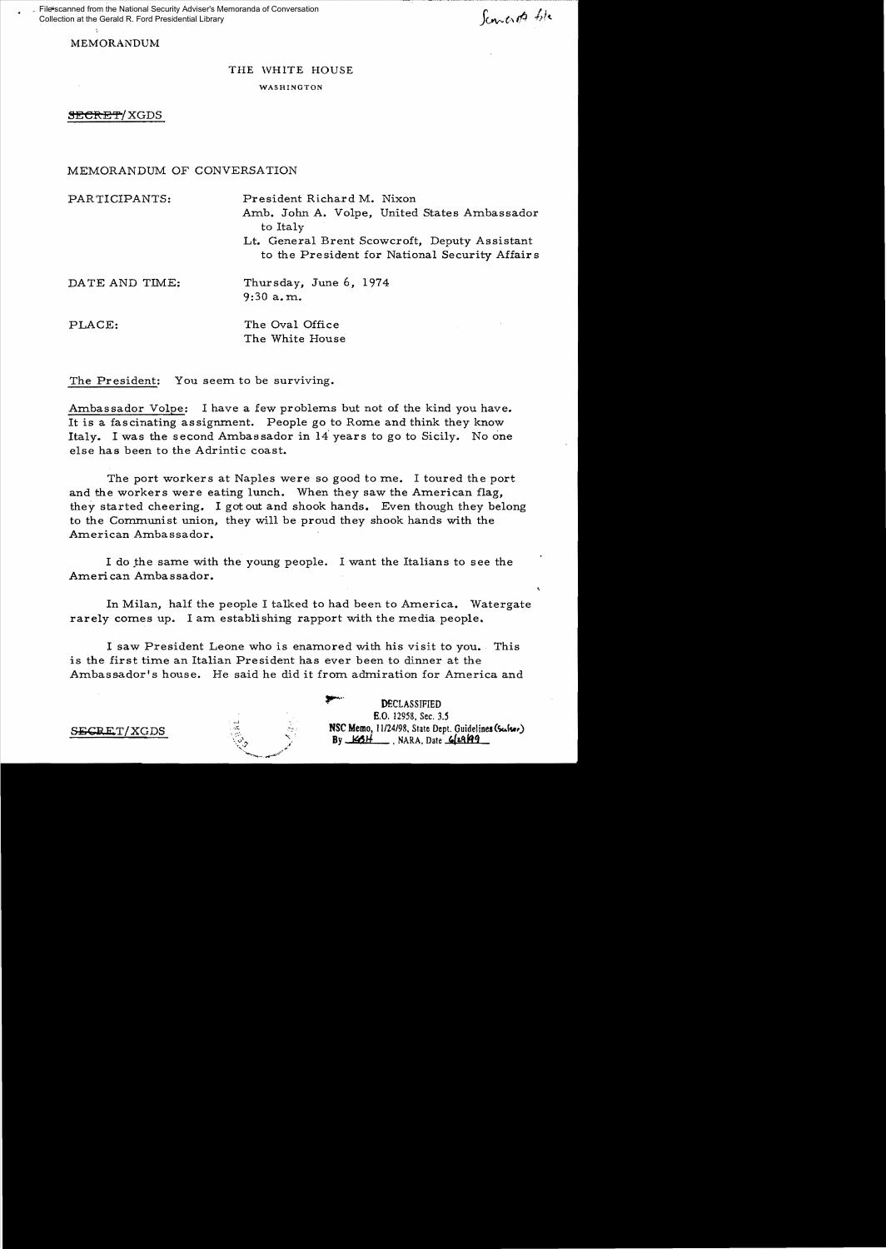File\*scanned from the National Security Adviser's Memoranda of Conversation Collection at the Gerald R. Ford Presidential Library

Sconcerts tole

MEMORANDUM

# THE WHITE HOUSE

#### WASHINGTON

**SECRET/XGDS** 

#### MEMORANDUM OF CONVERSATION

PARTICIPANTS: President Richard M. Nixon Amb. John A. Volpe, United States Ambassador to Italy Lt. General Brent Scowcroft, Deputy Assistant to the President for National Security Affairs DATE AND TIME: Thursday, June 6, 1974 9:30 a. m.

PLACE: The Oval Office The White House

The President: You seem to be surviving.

Ambassador Volpe: I have a few problems but not of the kind you have. It is a fascinating assignment. People go to Rome and think they know Italy. I was the second Ambassador in  $14$  years to go to Sicily. No one else has been to the Adrintic coast.

The port workers at Naples were so good to me. I toured the port and the workers were eating lunch. When they saw the American flag, they started cheering. I got out and shook hands. Even though they belong to the Communist union, they will be proud they shook hands with the American Ambassador.

I do the same with the young people. I want the Italians to see the American Ambassador.

In Milan, half the people I talked to had been to America. Watergate rarely comes up. I am establishing rapport with the media people.

I saw President Leone who is enamored with his visit to you. This is the first time an Italian President has ever been to dinner at the Ambassador's house. He said he did it from admiration for America and

**DECLASSIFIED** B.O. 12958, Sec. 3.5  $SERET/XGDS$  NSC Memo, 11/24/98, State Dept. Guidelines (Surface) By  $\underline{\mathcal{H}}$  , NARA, Date  $\underline{\mathcal{H}}$  29.499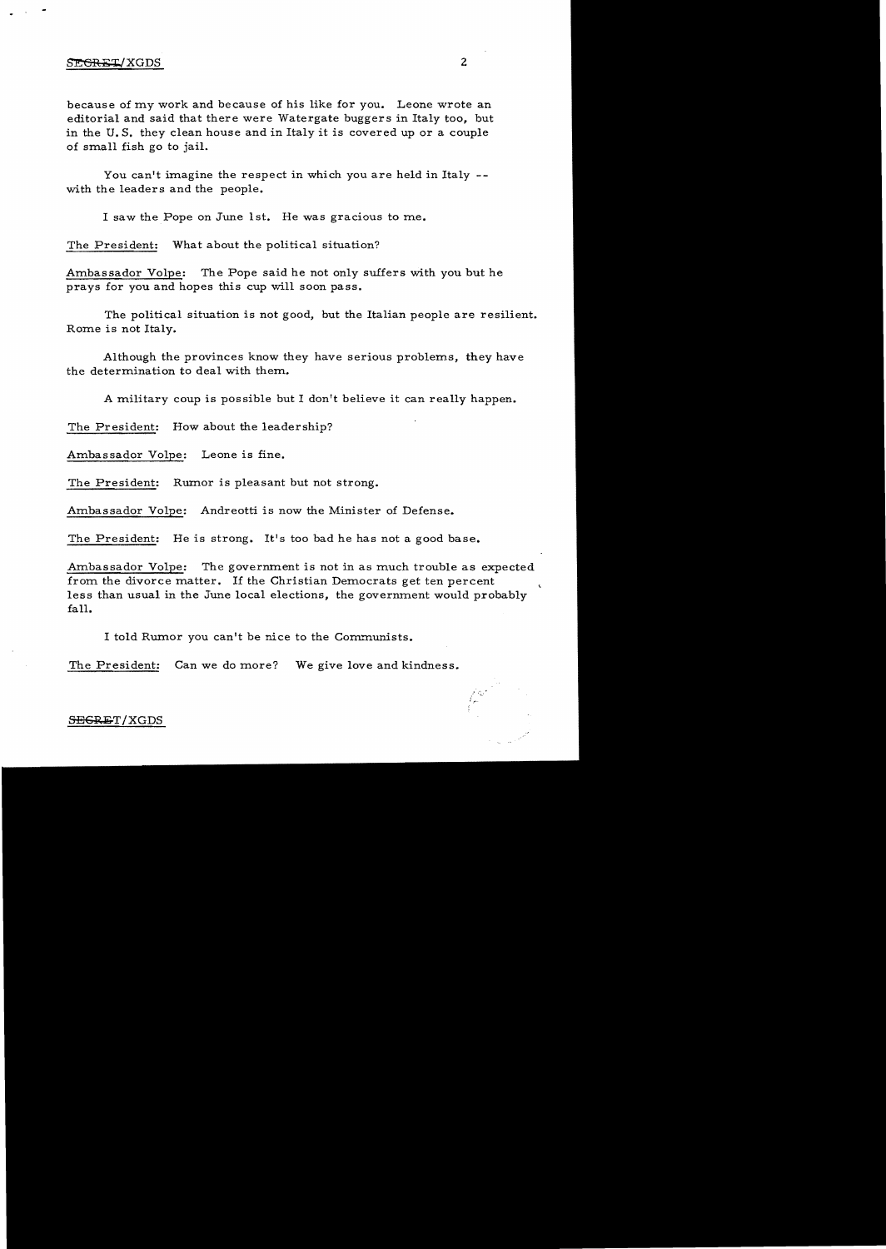### SE<del>GRET</del>/XGDS 2

because of tny work and because of his like for you. Leone wrote an editorial and said that there were Watergate buggers in Italy too, but in the U. S. they clean house and in Italy it is covered up or a couple of small fish go to jail.

You can't imagine the respect in which you are held in Italy  $-$ with the leaders and the people.

I saw the Pope on June 1st. He was gracious to me.

The President: What about the political situation?

Ambassador Volpe: The Pope said he not only suffers with you but he prays for you and hopes this cup will soon pass.

The political situation is not good, but the Italian people are resilient. Rome is not Italy.

Although the provinces know they have serious problems, they have the determination to deal with them.

A military coup is possible but I don't believe it can really happen.

The President: How about the leadership?

Ambassador Volpe: Leone is fine.

The President: Rumor is pleasant but not strong.

Ambassador Volpe: Andreotti is now the Minister of Defense.

The President: He is strong. It's too bad he has not a good base.

Ambassador Volpe: The government is not in as much trouble as expected from the divorce matter. If the Christian Democrats get ten percent less than usual in the June local elections, the government would probably fall.

I told Rumor you can't be nice to the Communists.

The President: Can we do more? We give love and kindness.

## SEGRET/XGDS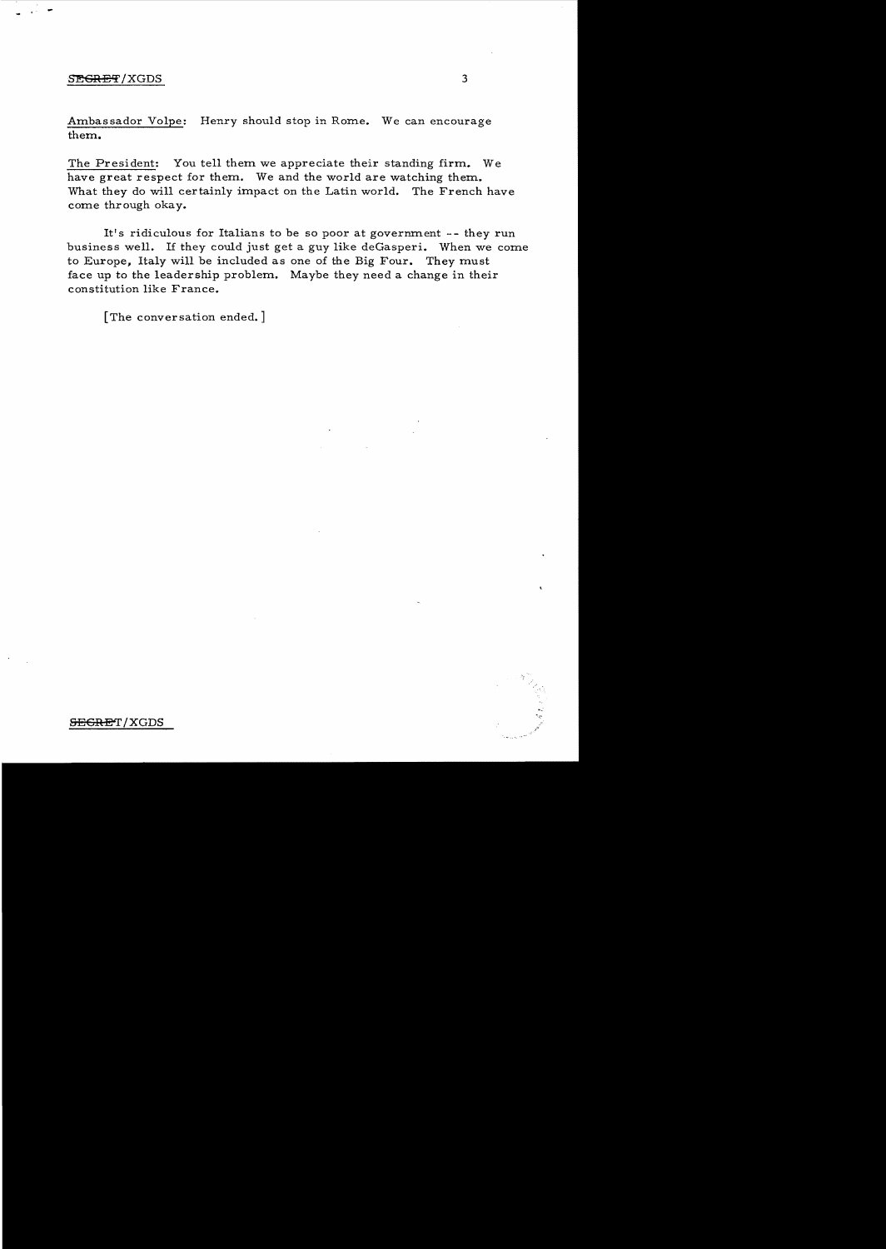#### SEGRET/XGDS

- ..

Ambassador Volpe: Henry should stop in Rome. We can encourage them.

The President: You tell them we appreciate their standing firm. We have great respect for them. We and the world are watching them. What they do will certainly impact on the Latin world. The French have come thr ough okay.

It's ridiculous for Italians to be so poor at government -- they run business well. If they could just get a guy like deGasperi. When we come to Europe, Italy will be included as one of the Big Four. They must face up to the leadership problem. Maybe they need a change in their constitution like France.

[The conversation ended.]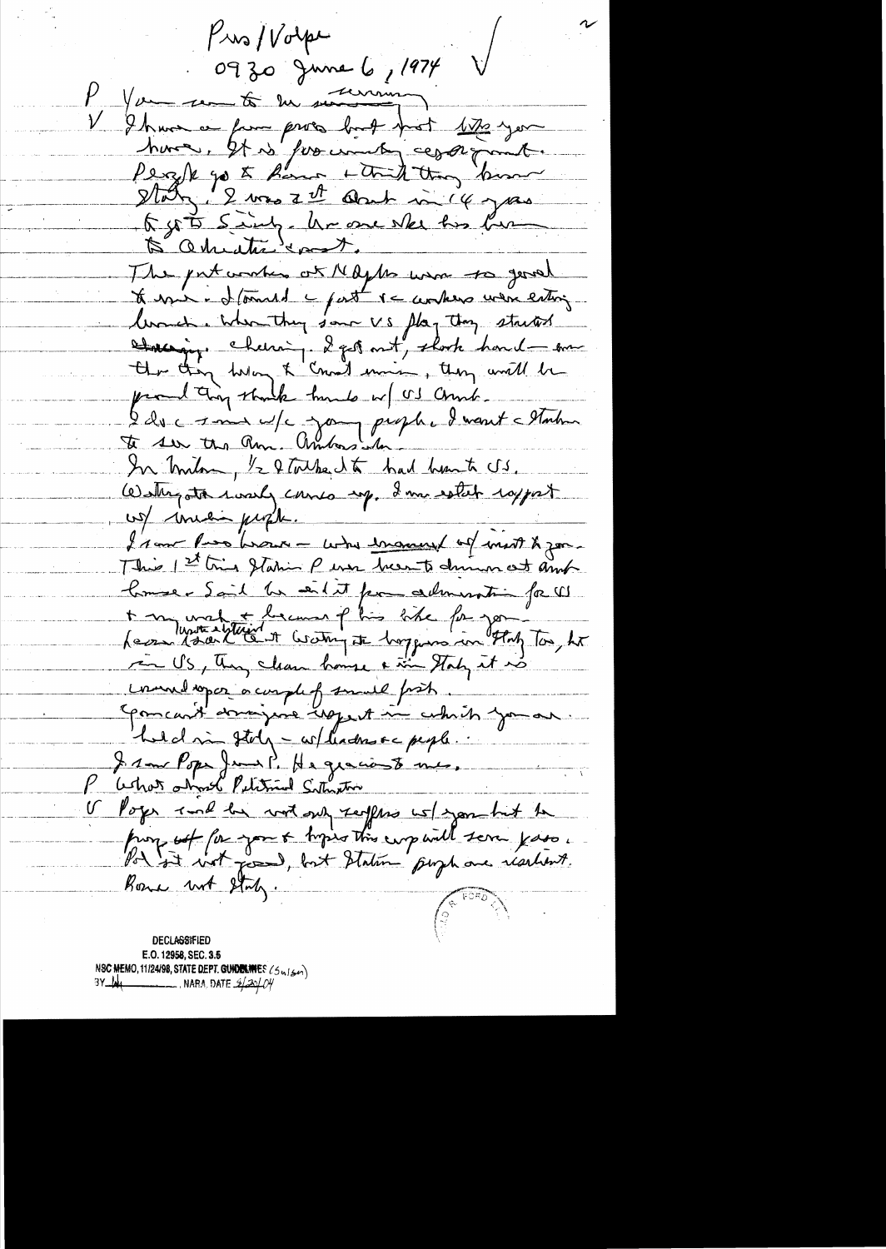$P$ is/ $V$ olpe 0930 June 6, 1974 P You so to en sur V Ihave a fam pros but pot 170 you huma, It is for units caparity to get 5 sing. he one ske his bur 5 adviction cont. The patarakes of Maybe was to good to expect to formed a past of compers were entire lowed. When they same VS flag they started Hacing chemin 2 got ont, clock houd am producting stank tundo w/ US Christ. I du comme de jours prophe d'une etable In milion, 1/2 & Toube, 1 to had hunt US. Western today comes my, I'm estat rapport us mini prof I saw Ross horse - who income of most & good This 1st tries Station P erse been to during out and Comme Sail he eil et pour admiration for W + m unat le mar plus tite for gon"<br>Less dans l'établist et bouting et hoppes in the for, he ren US, They clean house a time Staty it is comment open a complet small from Comcant domingune uppert in which you are held in stoly - wheather or people. I saw Pope Jeans P. He graciouste mes. <u>achot almost Putitional Sithreton</u>  $\mathcal{V}$ V Poger and he with sub seepers we sport to prompt for you & topics this emp will serve yours. Bone unt State **DECLASSIFIED** 

E.O. 12958, SEC. 3.5 NSC MEMO, 11/24/98, STATE DEPT. GUIDELINES (Sulser)  $\overline{\phantom{a}}$  , nafia, date  $\mathscr{A}\mathscr{A}\mathscr{O}\mathscr{C}$